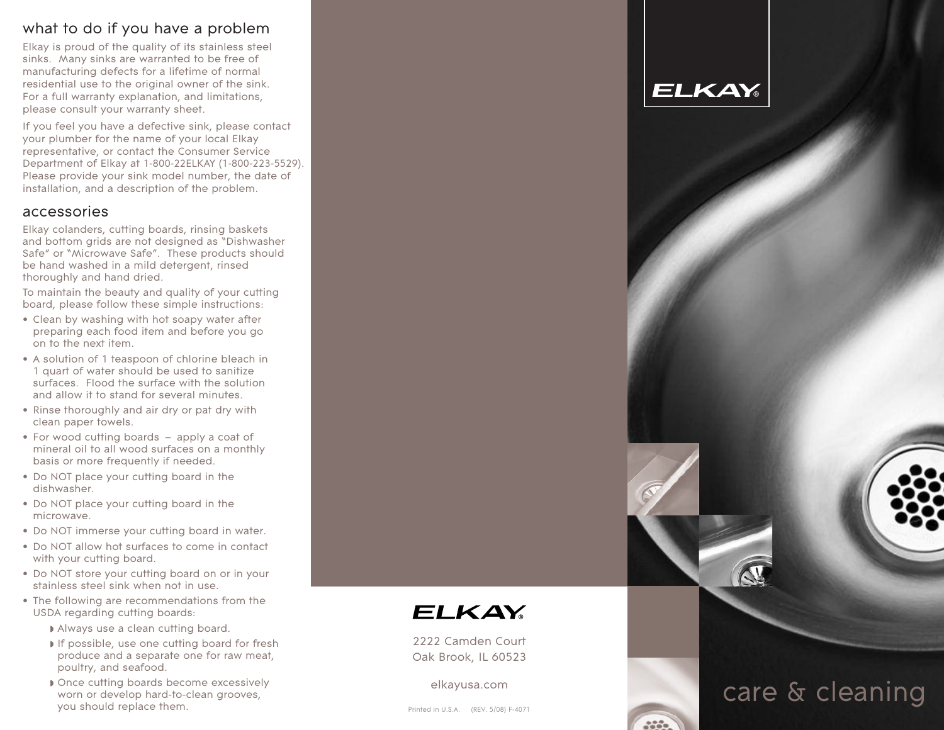# what to do if you have a problem

Elkay is proud of the quality of its stainless steel sinks. Many sinks are warranted to be free of manufacturing defects for a lifetime of normal residential use to the original owner of the sink. For a full warranty explanation, and limitations, please consult your warranty sheet.

If you feel you have a defective sink, please contact your plumber for the name of your local Elkay representative, or contact the Consumer Service Department of Elkay at 1-800-22ELKAY (1-800-223-5529). Please provide your sink model number, the date of installation, and a description of the problem.

## accessories

Elkay colanders, cutting boards, rinsing baskets and bottom grids are not designed as "Dishwasher Safe" or "Microwave Safe". These products should be hand washed in a mild detergent, rinsed thoroughly and hand dried.

To maintain the beauty and quality of your cutting board, please follow these simple instructions:

- Clean by washing with hot soapy water after preparing each food item and before you go on to the next item.
- A solution of 1 teaspoon of chlorine bleach in 1 quart of water should be used to sanitize surfaces. Flood the surface with the solution and allow it to stand for several minutes.
- Rinse thoroughly and air dry or pat dry with clean paper towels.
- For wood cutting boards apply a coat of mineral oil to all wood surfaces on a monthly basis or more frequently if needed.
- Do NOT place your cutting board in the dishwasher.
- Do NOT place your cutting board in the microwave.
- Do NOT immerse your cutting board in water.
- Do NOT allow hot surfaces to come in contact with your cutting board.
- Do NOT store your cutting board on or in your stainless steel sink when not in use.
- The following are recommendations from the USDA regarding cutting boards:
	- Always use a clean cutting board.
	- If possible, use one cutting board for fresh produce and a separate one for raw meat, poultry, and seafood.
	- Once cutting boards become excessively worn or develop hard-to-clean grooves, you should replace them.



care & cleaning



2222 Camden Court Oak Brook, IL 60523

#### elkayusa.com

Printed in U.S.A. (REV. 5/08) F-4071